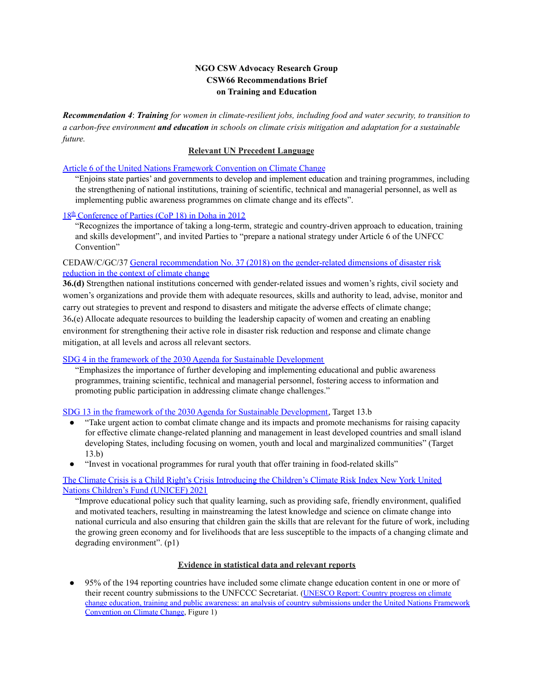# **NGO CSW Advocacy Research Group CSW66 Recommendations Brief on Training and Education**

Recommendation 4: Training for women in climate-resilient jobs, including food and water security, to transition to *a carbon-free environment and education in schools on climate crisis mitigation and adaptation for a sustainable future.*

### **Relevant UN Precedent Language**

#### Article 6 of the United Nations Framework [Convention](https://unfccc.int/process-and-meetings/the-convention/what-is-the-united-nations-framework-convention-on-climate-change) on Climate Change

"Enjoins state parties' and governments to develop and implement education and training programmes, including the strengthening of national institutions, training of scientific, technical and managerial personnel, as well as implementing public awareness programmes on climate change and its effects".

### 18<sup>th</sup> [Conference](https://unfccc.int/process-and-meetings/conferences/past-conferences/doha-climate-change-conference-november-2012/cop-18/cop-18-reports) of Parties (CoP 18) in Doha in 2012

"Recognizes the importance of taking a long-term, strategic and country-driven approach to education, training and skills development", and invited Parties to "prepare a national strategy under Article 6 of the UNFCC Convention"

### CEDAW/C/GC/37 General [recommendation](https://tbinternet.ohchr.org/_layouts/15/treatybodyexternal/Download.aspx?symbolno=CEDAW/C/GC/37&Lang=en) No. 37 (2018) on the gender-related dimensions of disaster risk [reduction](https://tbinternet.ohchr.org/_layouts/15/treatybodyexternal/Download.aspx?symbolno=CEDAW/C/GC/37&Lang=en) in the context of climate change

**36.(d)** Strengthen national institutions concerned with gender-related issues and women's rights, civil society and women's organizations and provide them with adequate resources, skills and authority to lead, advise, monitor and carry out strategies to prevent and respond to disasters and mitigate the adverse effects of climate change; 36**.**(e) Allocate adequate resources to building the leadership capacity of women and creating an enabling environment for strengthening their active role in disaster risk reduction and response and climate change mitigation, at all levels and across all relevant sectors.

### SDG 4 in the framework of the 2030 Agenda for Sustainable [Development](https://www.un.org/ga/search/view_doc.asp?symbol=A/RES/70/1&Lang=E)

"Emphasizes the importance of further developing and implementing educational and public awareness programmes, training scientific, technical and managerial personnel, fostering access to information and promoting public participation in addressing climate change challenges."

SDG 13 in the framework of the 2030 Agenda for Sustainable [Development,](https://www.un.org/ga/search/view_doc.asp?symbol=A/RES/70/1&Lang=E) Target 13.b

- "Take urgent action to combat climate change and its impacts and promote mechanisms for raising capacity for effective climate change-related planning and management in least developed countries and small island developing States, including focusing on women, youth and local and marginalized communities" (Target 13.b)
- "Invest in vocational programmes for rural youth that offer training in food-related skills"

## The Climate Crisis is a Child Right's Crisis [Introducing](https://www.unicef.org/media/105376/file/UNICEF-climate-crisis-child-rights-crisis.pdf) the Children's Climate Risk Index New York United Nations Children's Fund [\(UNICEF\)](https://www.unicef.org/media/105376/file/UNICEF-climate-crisis-child-rights-crisis.pdf) 2021

"Improve educational policy such that quality learning, such as providing safe, friendly environment, qualified and motivated teachers, resulting in mainstreaming the latest knowledge and science on climate change into national curricula and also ensuring that children gain the skills that are relevant for the future of work, including the growing green economy and for livelihoods that are less susceptible to the impacts of a changing climate and degrading environment". (p1)

### **Evidence in statistical data and relevant reports**

● 95% of the 194 reporting countries have included some climate change education content in one or more of their recent country submissions to the UNFCCC Secretariat. ([UNESCO Report: Country progress on climate](https://unesdoc.unesco.org/ark:/48223/pf0000372164) [change education, training and public awareness: an analysis of country submissions under the United Nations Framework](https://unesdoc.unesco.org/ark:/48223/pf0000372164) [Convention on Climate Change](https://unesdoc.unesco.org/ark:/48223/pf0000372164), Figure 1)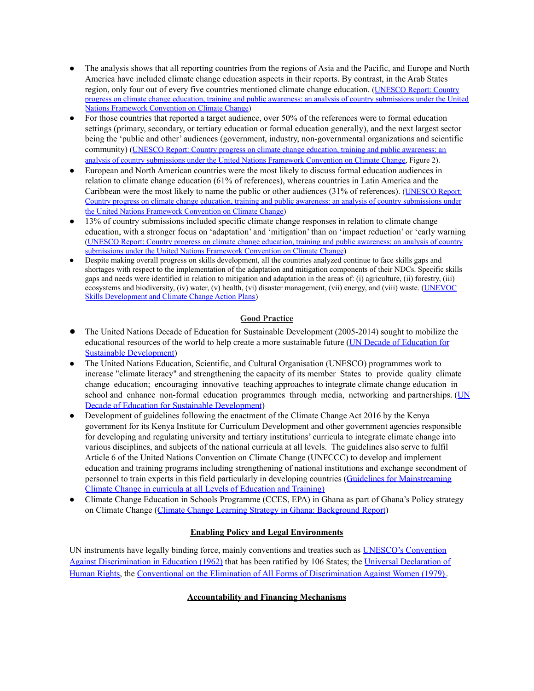- The analysis shows that all reporting countries from the regions of Asia and the Pacific, and Europe and North America have included climate change education aspects in their reports. By contrast, in the Arab States region, only four out of every five countries mentioned climate change education. ([UNESCO Report: Country](https://unesdoc.unesco.org/ark:/48223/pf0000372164) [progress on climate change education, training and public awareness: an analysis of country submissions under the United](https://unesdoc.unesco.org/ark:/48223/pf0000372164) [Nations Framework Convention on Climate Change](https://unesdoc.unesco.org/ark:/48223/pf0000372164))
- For those countries that reported a target audience, over 50% of the references were to formal education settings (primary, secondary, or tertiary education or formal education generally), and the next largest sector being the 'public and other' audiences (government, industry, non-governmental organizations and scientific community) (UNESCO Report: Country progress on climate [change education, training and public awareness: an](https://unesdoc.unesco.org/ark:/48223/pf0000372164) [analysis of country submissions under the United Nations Framework Convention on Climate Change,](https://unesdoc.unesco.org/ark:/48223/pf0000372164) Figure 2).
- **●** European and North American countries were the most likely to discuss formal education audiences in relation to climate change education (61% of references), whereas countries in Latin America and the Caribbean were the most likely to name the public or other audiences (31% of references). ([UNESCO Report:](https://unesdoc.unesco.org/ark:/48223/pf0000372164) [Country progress on climate change education, training and public awareness: an analysis of country submissions under](https://unesdoc.unesco.org/ark:/48223/pf0000372164) [the United Nations Framework Convention on Climate Change](https://unesdoc.unesco.org/ark:/48223/pf0000372164))
- 13% of country submissions included specific climate change responses in relation to climate change education, with a stronger focus on 'adaptation' and 'mitigation' than on 'impact reduction' or 'early warning (UNESCO Report: Country progress on climate change [education, training and public awareness: an analysis of country](https://unesdoc.unesco.org/ark:/48223/pf0000372164) [submissions under the United Nations Framework Convention on Climate Change](https://unesdoc.unesco.org/ark:/48223/pf0000372164))
- Despite making overall progress on skills development, all the countries analyzed continue to face skills gaps and shortages with respect to the implementation of the adaptation and mitigation components of their NDCs. Specific skills gaps and needs were identified in relation to mitigation and adaptation in the areas of: (i) agriculture, (ii) forestry, (iii) ecosystems and biodiversity, (iv) water, (v) health, (vi) disaster management, (vii) energy, and (viii) waste. [\(UNEVOC](https://unevoc.unesco.org/pub/skills_development_and_climate_change_action_plans.pdf) [Skills Development and Climate Change Action Plans\)](https://unevoc.unesco.org/pub/skills_development_and_climate_change_action_plans.pdf)

# **Good Practice**

- The United Nations Decade of Education for Sustainable Development (2005-2014) sought to mobilize the educational resources of the world to help create a more sustainable future (UN Decade of [Education](https://en.unesco.org/themes/education-sustainable-development/what-is-esd/un-decade-of-esd) for Sustainable [Development\)](https://en.unesco.org/themes/education-sustainable-development/what-is-esd/un-decade-of-esd)
- The United Nations Education, Scientific, and Cultural Organisation (UNESCO) programmes work to increase "climate literacy" and strengthening the capacity of its member States to provide quality climate change education; encouraging innovative teaching approaches to integrate climate change education in school and enhance non-formal education programmes through media, networking and partnerships. ([UN](https://en.unesco.org/themes/education-sustainable-development/what-is-esd/un-decade-of-esd) Decade of Education for Sustainable [Development](https://en.unesco.org/themes/education-sustainable-development/what-is-esd/un-decade-of-esd))
- Development of guidelines following the enactment of the Climate Change Act 2016 by the Kenya government for its Kenya Institute for Curriculum Development and other government agencies responsible for developing and regulating university and tertiary institutions' curricula to integrate climate change into various disciplines, and subjects of the national curricula at all levels. The guidelines also serve to fulfil Article 6 of the United Nations Convention on Climate Change (UNFCCC) to develop and implement education and training programs including strengthening of national institutions and exchange secondment of personnel to train experts in this field particularly in developing countries (Guidelines for [Mainstreaming](http://www.environment.go.ke/wp-content/uploads/2020/06/Climate-change-curriculum-guidelines-31st-May-2020.pdf) Climate Change in curricula at all Levels of [Education](http://www.environment.go.ke/wp-content/uploads/2020/06/Climate-change-curriculum-guidelines-31st-May-2020.pdf) and Training)
- Climate Change Education in Schools Programme (CCES, EPA) in Ghana as part of Ghana's Policy strategy on Climate Change (Climate Change Learning Strategy in Ghana: [Background](http://www.igreengrowthsolutions.com/content/media/store/posts/postfile/file/Climate_Change_Learning_Strategy_In_Ghana_Background_Report_0KElZKo.pdf) Report)

## **Enabling Policy and Legal Environments**

UN instruments have legally binding force, mainly conventions and treaties such as [UNESCO's](https://en.unesco.org/themes/right-to-education/convention-against-discrimination) Convention Against [Discrimination](https://en.unesco.org/themes/right-to-education/convention-against-discrimination) in Education (1962) that has been ratified by 106 States; the Universal [Declaration](https://www.un.org/en/about-us/universal-declaration-of-human-rights) of [Human](https://www.un.org/en/about-us/universal-declaration-of-human-rights) Rights, the Conventional on the Elimination of All Forms of [Discrimination](https://www.ohchr.org/en/professionalinterest/pages/cedaw.aspx#:~:text=Introduction,twentieth%20country%20had%20ratified%20it.) Against Women (1979).

## **Accountability and Financing Mechanisms**